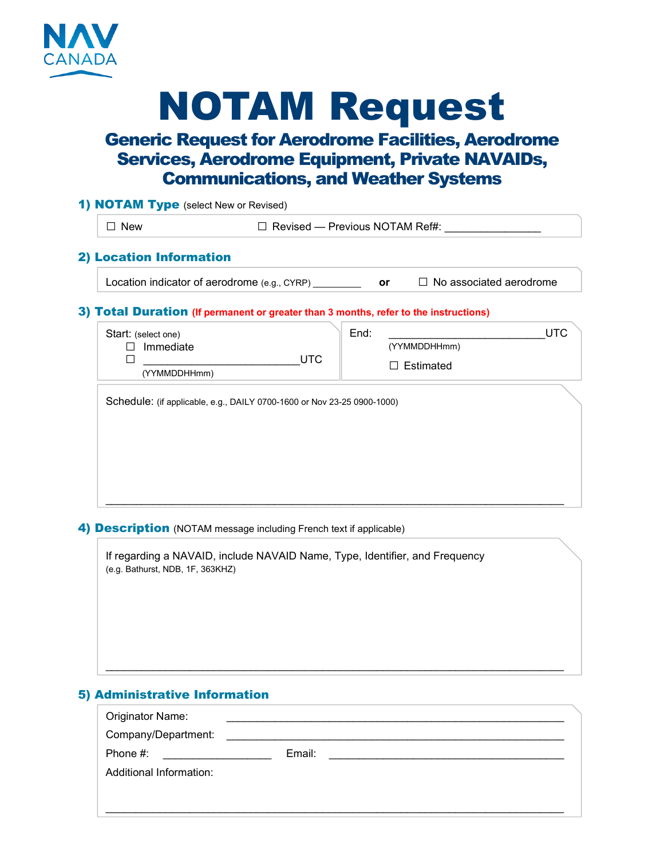

# NOTAM Request

## Generic Request for Aerodrome Facilities, Aerodrome Services, Aerodrome Equipment, Private NAVAIDs, Communications, and Weather Systems

| $\Box$ No associated aerodrome |
|--------------------------------|
|                                |
|                                |
|                                |
| <b>UTC</b>                     |
|                                |
|                                |
|                                |
|                                |
|                                |

### 4) **Description** (NOTAM message including French text if applicable)

If regarding a NAVAID, include NAVAID Name, Type, Identifier, and Frequency (e.g. Bathurst, NDB, 1F, 363KHZ)

## 5) Administrative Information

| Originator Name:        |        |  |  |
|-------------------------|--------|--|--|
| Company/Department:     |        |  |  |
| Phone #:                | Email: |  |  |
| Additional Information: |        |  |  |
|                         |        |  |  |
|                         |        |  |  |

\_\_\_\_\_\_\_\_\_\_\_\_\_\_\_\_\_\_\_\_\_\_\_\_\_\_\_\_\_\_\_\_\_\_\_\_\_\_\_\_\_\_\_\_\_\_\_\_\_\_\_\_\_\_\_\_\_\_\_\_\_\_\_\_\_\_\_\_\_\_\_\_\_\_\_\_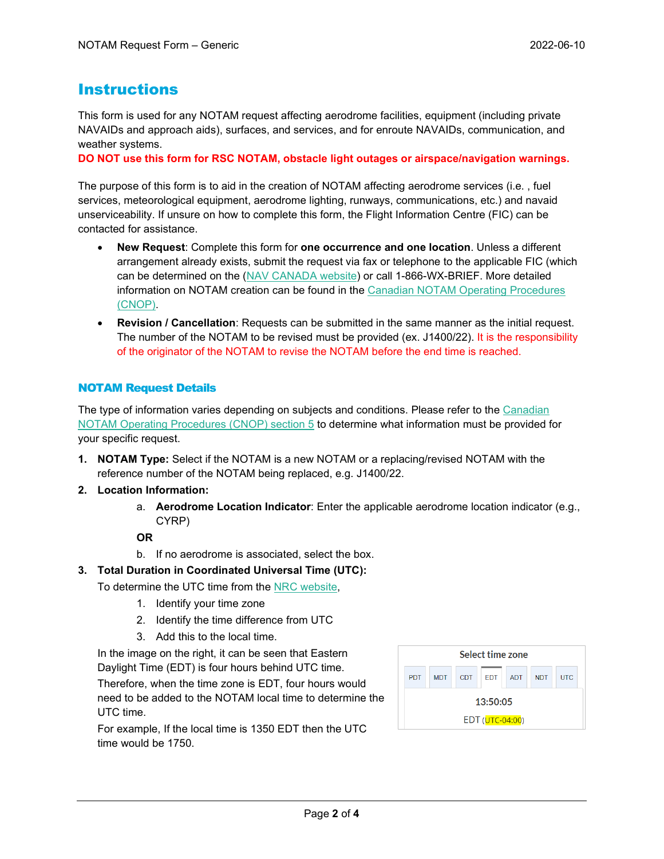## Instructions

This form is used for any NOTAM request affecting aerodrome facilities, equipment (including private NAVAIDs and approach aids), surfaces, and services, and for enroute NAVAIDs, communication, and weather systems.

**DO NOT use this form for RSC NOTAM, obstacle light outages or airspace/navigation warnings.**

The purpose of this form is to aid in the creation of NOTAM affecting aerodrome services (i.e. , fuel services, meteorological equipment, aerodrome lighting, runways, communications, etc.) and navaid unserviceability. If unsure on how to complete this form, the Flight Information Centre (FIC) can be contacted for assistance.

- **New Request**: Complete this form for **one occurrence and one location**. Unless a different arrangement already exists, submit the request via fax or telephone to the applicable FIC (which can be determined on the (NAV [CANADA website\)](https://www.navcanada.ca/en/flight-planning/flight-planning-and-reporting.aspx) or call 1-866-WX-BRIEF. More detailed information on NOTAM creation can be found in the [Canadian NOTAM Operating Procedures](https://www.navcanada.ca/en/aeronautical-information/operational-guides.aspx) [\(CNOP\).](https://www.navcanada.ca/en/aeronautical-information/operational-guides.aspx)
- **Revision / Cancellation**: Requests can be submitted in the same manner as the initial request. The number of the NOTAM to be revised must be provided (ex. J1400/22). It is the responsibility of the originator of the NOTAM to revise the NOTAM before the end time is reached.

### NOTAM Request Details

The type of information varies depending on subjects and conditions. Please refer to the [Canadian](https://www.navcanada.ca/en/aeronautical-information/operational-guides.aspx)  [NOTAM Operating Procedures \(CNOP\) section 5](https://www.navcanada.ca/en/aeronautical-information/operational-guides.aspx) to determine what information must be provided for your specific request.

- **1. NOTAM Type:** Select if the NOTAM is a new NOTAM or a replacing/revised NOTAM with the reference number of the NOTAM being replaced, e.g. J1400/22.
- **2. Location Information:**
	- a. **Aerodrome Location Indicator**: Enter the applicable aerodrome location indicator (e.g., CYRP)

**OR**

- b. If no aerodrome is associated, select the box.
- **3. Total Duration in Coordinated Universal Time (UTC):**
	- To determine the UTC time from the [NRC website,](https://nrc.canada.ca/en/web-clock/)
		- 1. Identify your time zone
		- 2. Identify the time difference from UTC
		- 3. Add this to the local time.

In the image on the right, it can be seen that Eastern Daylight Time (EDT) is four hours behind UTC time.

Therefore, when the time zone is EDT, four hours would need to be added to the NOTAM local time to determine the UTC time.

For example, If the local time is 1350 EDT then the UTC time would be 1750.

|            |            |     | Select time zone |            |            |            |
|------------|------------|-----|------------------|------------|------------|------------|
| <b>PDT</b> | <b>MDT</b> | CDT | <b>FDT</b>       | <b>ADT</b> | <b>NDT</b> | <b>UTC</b> |
| 13:50:05   |            |     |                  |            |            |            |
|            |            |     | EDT (UTC-04:00)  |            |            |            |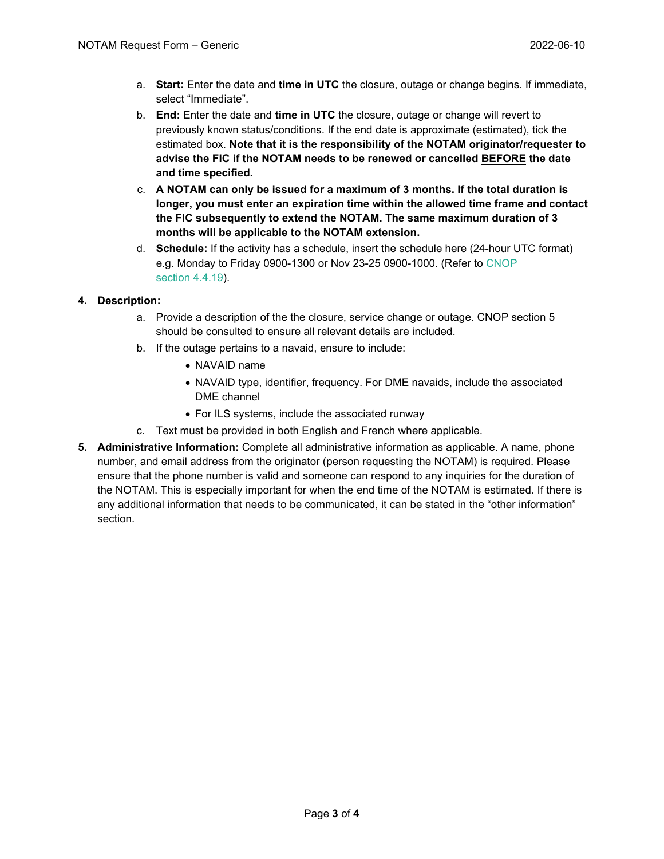- a. **Start:** Enter the date and **time in UTC** the closure, outage or change begins. If immediate, select "Immediate".
- b. **End:** Enter the date and **time in UTC** the closure, outage or change will revert to previously known status/conditions. If the end date is approximate (estimated), tick the estimated box. **Note that it is the responsibility of the NOTAM originator/requester to advise the FIC if the NOTAM needs to be renewed or cancelled BEFORE the date and time specified.**
- c. **A NOTAM can only be issued for a maximum of 3 months. If the total duration is longer, you must enter an expiration time within the allowed time frame and contact the FIC subsequently to extend the NOTAM. The same maximum duration of 3 months will be applicable to the NOTAM extension.**
- d. **Schedule:** If the activity has a schedule, insert the schedule here (24-hour UTC format) e.g. Monday to Friday 0900-1300 or Nov 23-25 0900-1000. (Refer to [CNOP](https://www.navcanada.ca/en/aeronautical-information/operational-guides.aspx) [section](https://www.navcanada.ca/en/aeronautical-information/operational-guides.aspx) 4.4.19).

### **4. Description:**

- a. Provide a description of the the closure, service change or outage. CNOP section 5 should be consulted to ensure all relevant details are included.
- b. If the outage pertains to a navaid, ensure to include:
	- NAVAID name
	- NAVAID type, identifier, frequency. For DME navaids, include the associated DME channel
	- For ILS systems, include the associated runway
- c. Text must be provided in both English and French where applicable.
- **5. Administrative Information:** Complete all administrative information as applicable. A name, phone number, and email address from the originator (person requesting the NOTAM) is required. Please ensure that the phone number is valid and someone can respond to any inquiries for the duration of the NOTAM. This is especially important for when the end time of the NOTAM is estimated. If there is any additional information that needs to be communicated, it can be stated in the "other information" section.